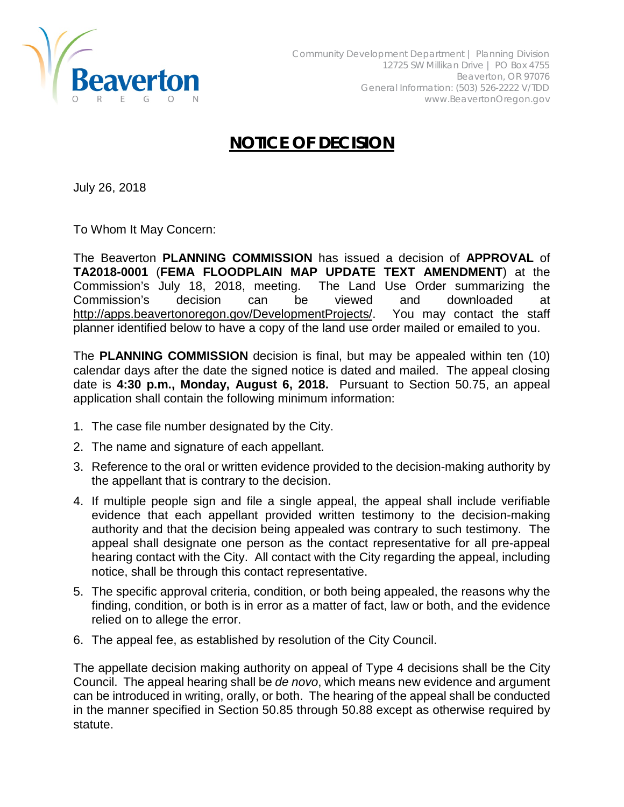

## **NOTICE OF DECISION**

July 26, 2018

To Whom It May Concern:

The Beaverton **PLANNING COMMISSION** has issued a decision of **APPROVAL** of **TA2018-0001** (**FEMA FLOODPLAIN MAP UPDATE TEXT AMENDMENT**) at the Commission's July 18, 2018, meeting. The Land Use Order summarizing the Commission's decision can be viewed and downloaded at [http://apps.beavertonoregon.gov/DevelopmentProjects/.](http://apps.beavertonoregon.gov/DevelopmentProjects/) You may contact the staff planner identified below to have a copy of the land use order mailed or emailed to you.

The **PLANNING COMMISSION** decision is final, but may be appealed within ten (10) calendar days after the date the signed notice is dated and mailed. The appeal closing date is **4:30 p.m., Monday, August 6, 2018.** Pursuant to Section 50.75, an appeal application shall contain the following minimum information:

- 1. The case file number designated by the City.
- 2. The name and signature of each appellant.
- 3. Reference to the oral or written evidence provided to the decision-making authority by the appellant that is contrary to the decision.
- 4. If multiple people sign and file a single appeal, the appeal shall include verifiable evidence that each appellant provided written testimony to the decision-making authority and that the decision being appealed was contrary to such testimony. The appeal shall designate one person as the contact representative for all pre-appeal hearing contact with the City. All contact with the City regarding the appeal, including notice, shall be through this contact representative.
- 5. The specific approval criteria, condition, or both being appealed, the reasons why the finding, condition, or both is in error as a matter of fact, law or both, and the evidence relied on to allege the error.
- 6. The appeal fee, as established by resolution of the City Council.

The appellate decision making authority on appeal of Type 4 decisions shall be the City Council. The appeal hearing shall be *de novo*, which means new evidence and argument can be introduced in writing, orally, or both. The hearing of the appeal shall be conducted in the manner specified in Section 50.85 through 50.88 except as otherwise required by statute.